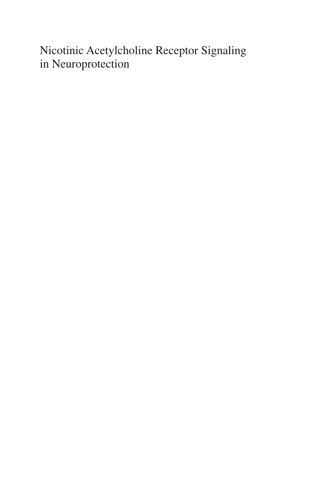Nicotinic Acetylcholine Receptor Signaling in Neuroprotection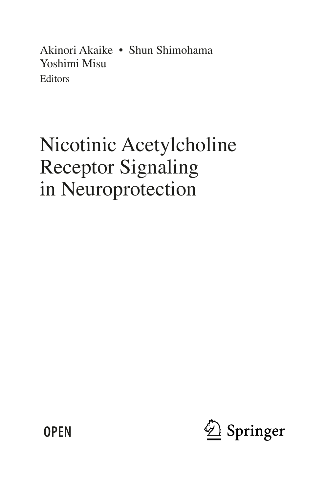Akinori Akaike • Shun Shimohama Yoshimi Misu Editors

## Nicotinic Acetylcholine Receptor Signaling in Neuroprotection

**OPEN** 

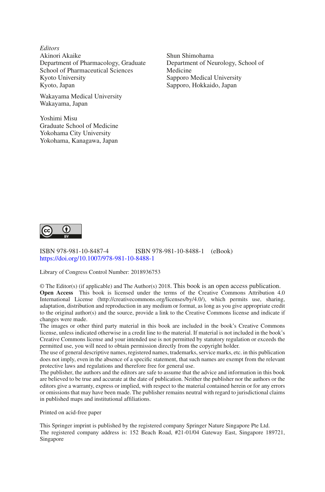*Editors* Akinori Akaike Department of Pharmacology, Graduate School of Pharmaceutical Sciences Kyoto University Kyoto, Japan

Wakayama Medical University Wakayama, Japan

Yoshimi Misu Graduate School of Medicine Yokohama City University Yokohama, Kanagawa, Japan Shun Shimohama Department of Neurology, School of Medicine Sapporo Medical University Sapporo, Hokkaido, Japan



ISBN 978-981-10-8487-4 ISBN 978-981-10-8488-1 (eBook) <https://doi.org/10.1007/978-981-10-8488-1>

Library of Congress Control Number: 2018936753

© The Editor(s) (if applicable) and The Author(s) 2018. This book is an open access publication. **Open Access** This book is licensed under the terms of the Creative Commons Attribution 4.0 International License (http://creativecommons.org/licenses/by/4.0/), which permits use, sharing, adaptation, distribution and reproduction in any medium or format, as long as you give appropriate credit to the original author(s) and the source, provide a link to the Creative Commons license and indicate if changes were made.

The images or other third party material in this book are included in the book's Creative Commons license, unless indicated otherwise in a credit line to the material. If material is not included in the book's Creative Commons license and your intended use is not permitted by statutory regulation or exceeds the permitted use, you will need to obtain permission directly from the copyright holder.

The use of general descriptive names, registered names, trademarks, service marks, etc. in this publication does not imply, even in the absence of a specific statement, that such names are exempt from the relevant protective laws and regulations and therefore free for general use.

The publisher, the authors and the editors are safe to assume that the advice and information in this book are believed to be true and accurate at the date of publication. Neither the publisher nor the authors or the editors give a warranty, express or implied, with respect to the material contained herein or for any errors or omissions that may have been made. The publisher remains neutral with regard to jurisdictional claims in published maps and institutional affiliations.

Printed on acid-free paper

This Springer imprint is published by the registered company Springer Nature Singapore Pte Ltd. The registered company address is: 152 Beach Road, #21-01/04 Gateway East, Singapore 189721, Singapore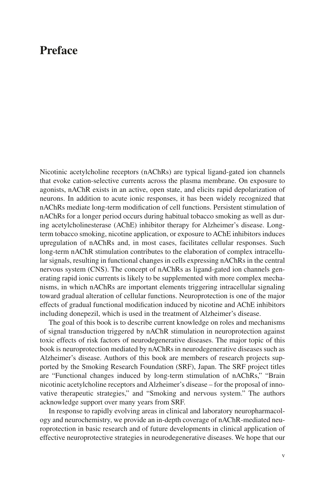## **Preface**

Nicotinic acetylcholine receptors (nAChRs) are typical ligand-gated ion channels that evoke cation-selective currents across the plasma membrane. On exposure to agonists, nAChR exists in an active, open state, and elicits rapid depolarization of neurons. In addition to acute ionic responses, it has been widely recognized that nAChRs mediate long-term modification of cell functions. Persistent stimulation of nAChRs for a longer period occurs during habitual tobacco smoking as well as during acetylcholinesterase (AChE) inhibitor therapy for Alzheimer's disease. Longterm tobacco smoking, nicotine application, or exposure to AChE inhibitors induces upregulation of nAChRs and, in most cases, facilitates cellular responses. Such long-term nAChR stimulation contributes to the elaboration of complex intracellular signals, resulting in functional changes in cells expressing nAChRs in the central nervous system (CNS). The concept of nAChRs as ligand-gated ion channels generating rapid ionic currents is likely to be supplemented with more complex mechanisms, in which nAChRs are important elements triggering intracellular signaling toward gradual alteration of cellular functions. Neuroprotection is one of the major effects of gradual functional modification induced by nicotine and AChE inhibitors including donepezil, which is used in the treatment of Alzheimer's disease.

The goal of this book is to describe current knowledge on roles and mechanisms of signal transduction triggered by nAChR stimulation in neuroprotection against toxic effects of risk factors of neurodegenerative diseases. The major topic of this book is neuroprotection mediated by nAChRs in neurodegenerative diseases such as Alzheimer's disease. Authors of this book are members of research projects supported by the Smoking Research Foundation (SRF), Japan. The SRF project titles are "Functional changes induced by long-term stimulation of nAChRs," "Brain nicotinic acetylcholine receptors and Alzheimer's disease – for the proposal of innovative therapeutic strategies," and "Smoking and nervous system." The authors acknowledge support over many years from SRF.

In response to rapidly evolving areas in clinical and laboratory neuropharmacology and neurochemistry, we provide an in-depth coverage of nAChR-mediated neuroprotection in basic research and of future developments in clinical application of effective neuroprotective strategies in neurodegenerative diseases. We hope that our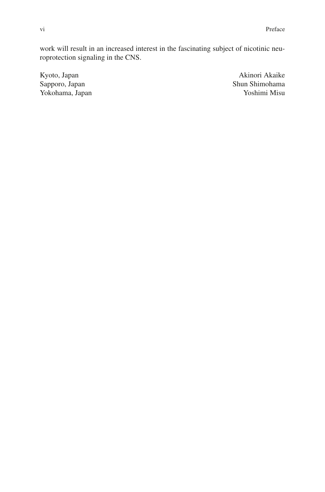work will result in an increased interest in the fascinating subject of nicotinic neuroprotection signaling in the CNS.

Yokohama, Japan

Kyoto, Japan Akinori Akaike<br>Sapporo, Japan Akinori Akaike<br>Shun Shimohama Sapporo, Japan Shun Shimohama<br>Yokohama, Japan Shun Shimohama<br>Yoshimi Misu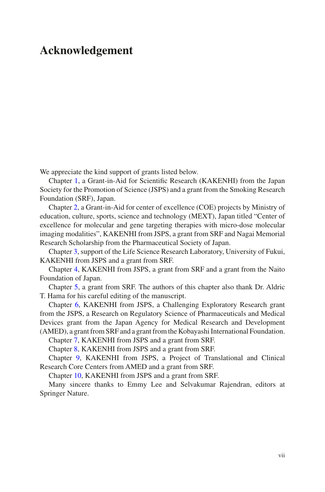## **Acknowledgement**

We appreciate the kind support of grants listed below.

Chapter [1,](https://doi.org/10.1007/978-981-10-8488-1_1) a Grant-in-Aid for Scientific Research (KAKENHI) from the Japan Society for the Promotion of Science (JSPS) and a grant from the Smoking Research Foundation (SRF), Japan.

Chapter [2,](https://doi.org/10.1007/978-981-10-8488-1_2) a Grant-in-Aid for center of excellence (COE) projects by Ministry of education, culture, sports, science and technology (MEXT), Japan titled "Center of excellence for molecular and gene targeting therapies with micro-dose molecular imaging modalities", KAKENHI from JSPS, a grant from SRF and Nagai Memorial Research Scholarship from the Pharmaceutical Society of Japan.

Chapter [3,](https://doi.org/10.1007/978-981-10-8488-1_3) support of the Life Science Research Laboratory, University of Fukui, KAKENHI from JSPS and a grant from SRF.

Chapter [4](https://doi.org/10.1007/978-981-10-8488-1_4), KAKENHI from JSPS, a grant from SRF and a grant from the Naito Foundation of Japan.

Chapter [5,](https://doi.org/10.1007/978-981-10-8488-1_5) a grant from SRF. The authors of this chapter also thank Dr. Aldric T. Hama for his careful editing of the manuscript.

Chapter [6](https://doi.org/10.1007/978-981-10-8488-1_6), KAKENHI from JSPS, a Challenging Exploratory Research grant from the JSPS, a Research on Regulatory Science of Pharmaceuticals and Medical Devices grant from the Japan Agency for Medical Research and Development (AMED), a grant from SRF and a grant from the Kobayashi International Foundation.

Chapter [7](https://doi.org/10.1007/978-981-10-8488-1_7), KAKENHI from JSPS and a grant from SRF.

Chapter [8](https://doi.org/10.1007/978-981-10-8488-1_8), KAKENHI from JSPS and a grant from SRF.

Chapter [9,](https://doi.org/10.1007/978-981-10-8488-1_9) KAKENHI from JSPS, a Project of Translational and Clinical Research Core Centers from AMED and a grant from SRF.

Chapter [10](https://doi.org/10.1007/978-981-10-8488-1_10), KAKENHI from JSPS and a grant from SRF.

Many sincere thanks to Emmy Lee and Selvakumar Rajendran, editors at Springer Nature.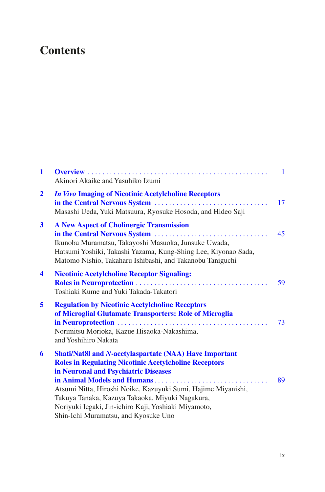## **Contents**

| $\mathbf{1}$         | Akinori Akaike and Yasuhiko Izumi                                                                                                                                                                                                                                                                                                                                                                                        | $\mathbf{1}$ |
|----------------------|--------------------------------------------------------------------------------------------------------------------------------------------------------------------------------------------------------------------------------------------------------------------------------------------------------------------------------------------------------------------------------------------------------------------------|--------------|
| $\mathbf{2}$         | <b>In Vivo Imaging of Nicotinic Acetylcholine Receptors</b><br>Masashi Ueda, Yuki Matsuura, Ryosuke Hosoda, and Hideo Saji                                                                                                                                                                                                                                                                                               | 17           |
| 3                    | <b>A New Aspect of Cholinergic Transmission</b><br>Ikunobu Muramatsu, Takayoshi Masuoka, Junsuke Uwada,<br>Hatsumi Yoshiki, Takashi Yazama, Kung-Shing Lee, Kiyonao Sada,<br>Matomo Nishio, Takaharu Ishibashi, and Takanobu Taniguchi                                                                                                                                                                                   | 45           |
| $\blacktriangleleft$ | <b>Nicotinic Acetylcholine Receptor Signaling:</b><br>Toshiaki Kume and Yuki Takada-Takatori                                                                                                                                                                                                                                                                                                                             | 59           |
| 5                    | <b>Regulation by Nicotinic Acetylcholine Receptors</b><br>of Microglial Glutamate Transporters: Role of Microglia<br>Norimitsu Morioka, Kazue Hisaoka-Nakashima,<br>and Yoshihiro Nakata                                                                                                                                                                                                                                 | 73           |
| 6                    | <b>Shati/Nat8l and N-acetylaspartate (NAA) Have Important</b><br><b>Roles in Regulating Nicotinic Acetylcholine Receptors</b><br>in Neuronal and Psychiatric Diseases<br>in Animal Models and Humans<br>Atsumi Nitta, Hiroshi Noike, Kazuyuki Sumi, Hajime Miyanishi,<br>Takuya Tanaka, Kazuya Takaoka, Miyuki Nagakura,<br>Noriyuki Iegaki, Jin-ichiro Kaji, Yoshiaki Miyamoto,<br>Shin-Ichi Muramatsu, and Kyosuke Uno | 89           |